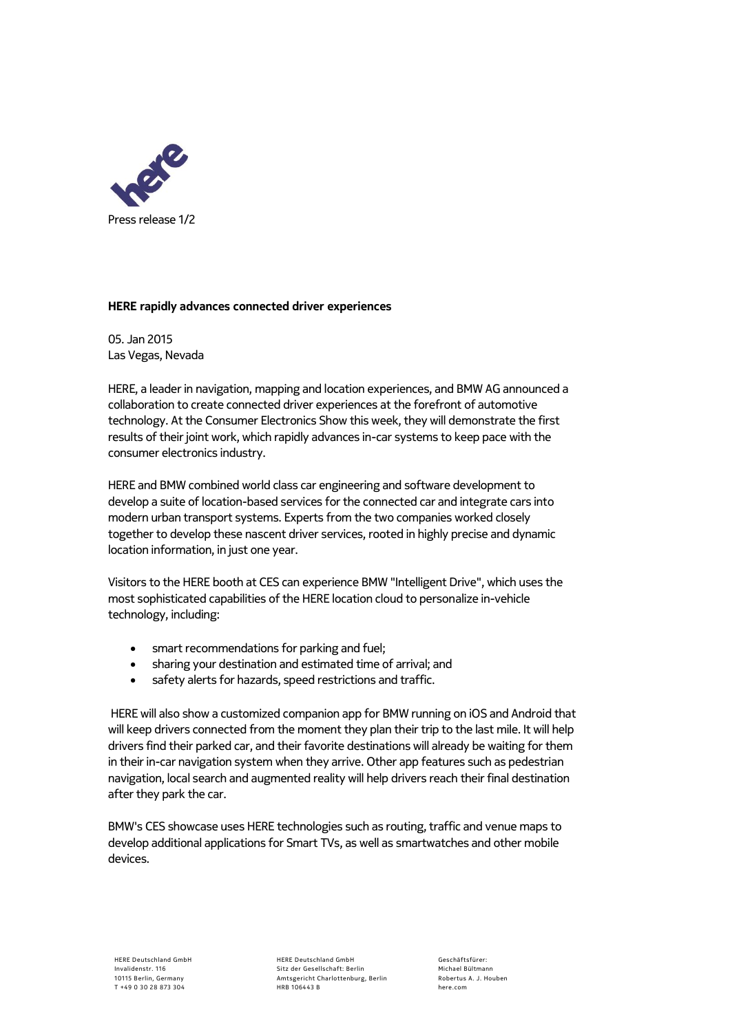

## **HERE rapidly advances connected driver experiences**

05. Jan 2015 Las Vegas, Nevada

HERE, a leader in navigation, mapping and location experiences, and BMW AG announced a collaboration to create connected driver experiences at the forefront of automotive technology. At the Consumer Electronics Show this week, they will demonstrate the first results of their joint work, which rapidly advances in-car systems to keep pace with the consumer electronics industry.

HERE and BMW combined world class car engineering and software development to develop a suite of location-based services for the connected car and integrate cars into modern urban transport systems. Experts from the two companies worked closely together to develop these nascent driver services, rooted in highly precise and dynamic location information, in just one year.

Visitors to the HERE booth at CES can experience BMW "Intelligent Drive", which uses the most sophisticated capabilities of the HERE location cloud to personalize in-vehicle technology, including:

- smart recommendations for parking and fuel;
- sharing your destination and estimated time of arrival; and
- safety alerts for hazards, speed restrictions and traffic.

HERE will also show a customized companion app for BMW running on iOS and Android that will keep drivers connected from the moment they plan their trip to the last mile. It will help drivers find their parked car, and their favorite destinations will already be waiting for them in their in-car navigation system when they arrive. Other app features such as pedestrian navigation, local search and augmented reality will help drivers reach their final destination after they park the car.

BMW's CES showcase uses HERE technologies such as routing, traffic and venue maps to develop additional applications for Smart TVs, as well as smartwatches and other mobile devices.